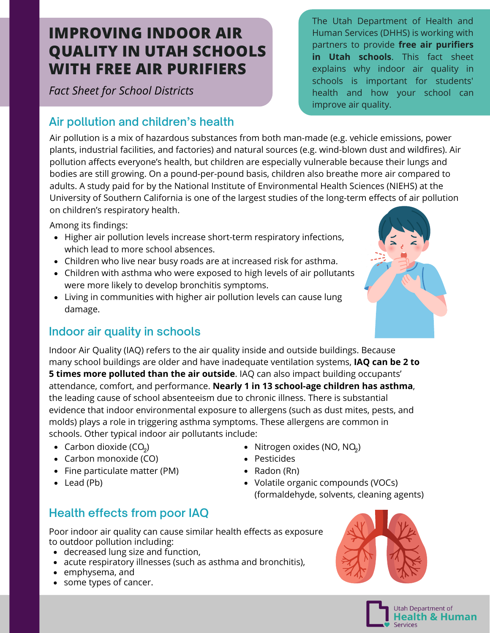# **IMPROVING INDOOR AIR QUALITY IN UTAH SCHOOLS WITH FREE AIR PURIFIERS**

*Fact Sheet for School Districts*

# **Air pollution and children's health**

Air pollution is a mix of hazardous substances from both man-made (e.g. vehicle emissions, power plants, industrial facilities, and factories) and natural sources (e.g. wind-blown dust and wildfires). Air pollution affects everyone's health, but children are especially vulnerable because their lungs and bodies are still growing. On a pound-per-pound basis, children also breathe more air compared to adults. A [study](https://healthstudy.usc.edu/) paid for by the National Institute of Environmental Health Sciences (NIEHS) at the University of Southern California is one of the largest studies of the long-term effects of air pollution on children's respiratory health.

Among its findings:

- Higher air [pollution](http://www.ncbi.nlm.nih.gov/pubmed/11138819) levels increase short-term respiratory infections, which lead to more school absences.
- Children who live near busy [roads](http://www.ncbi.nlm.nih.gov/pubmed/16222162) are at increased risk for asthma.
- Children with asthma who were exposed to high levels of air pollutants were more likely to develop [bronchitis](http://www.ncbi.nlm.nih.gov/pubmed/12893648) symptoms.
- Living in [communities](http://www.ncbi.nlm.nih.gov/pubmed/15356303) with higher air pollution levels can cause lung damage.

## **Indoor air quality in schools**

Indoor Air Quality (IAQ) refers to the air quality inside and outside buildings. Because many school buildings are older and have inadequate ventilation systems, **IAQ can be 2 to 5 times more polluted than the air outside**. IAQ can also impact building occupants' attendance, comfort, and performance. **Nearly 1 in 13 school-age children has asthma**, the leading cause of school absenteeism due to chronic illness. There is substantial evidence that indoor environmental exposure to allergens (such as dust mites, pests, and molds) plays a role in triggering asthma symptoms. These allergens are common in

- schools. Other typical indoor air pollutants include: • Carbon dioxide  $(CO<sub>0</sub>)$
- 
- Carbon monoxide (CO)
- Fine particulate matter (PM)
- Lead (Pb)
- Carbon dioxide (CO<sub>2</sub>)  $\bullet$  Nitrogen oxides (NO, NO<sub>2</sub>)
	- Pesticides
	- Radon (Rn)
	- Volatile organic compounds (VOCs) (formaldehyde, solvents, cleaning agents)

## **Health effects from poor IAQ**

Poor indoor air quality can cause similar health effects as exposure to outdoor pollution including:

- decreased lung size and function,
- acute respiratory illnesses (such as asthma and bronchitis),
- emphysema, and
- some types of cancer.





The Utah Department of Health and Human Services (DHHS) is working with partners to provide **free air purifiers in Utah schools**. This fact sheet explains why indoor air quality in schools is important for students' health and how your school can improve air quality.